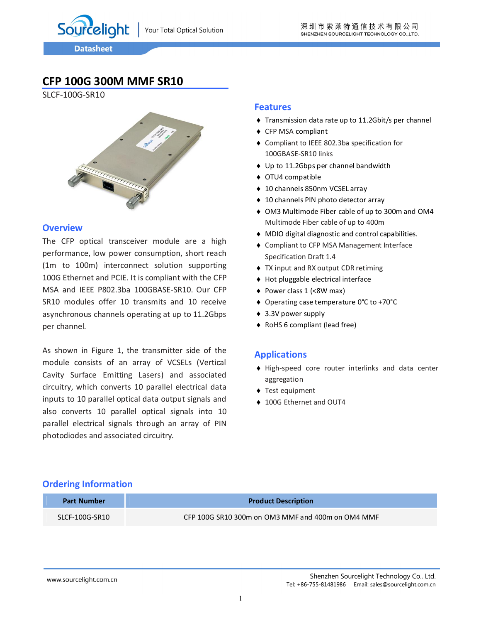Sourcelight

# **CFP 100G 300M MMF SR10**

SLCF-100G-SR10



#### **Overview**

The CFP optical transceiver module are a high performance, low power consumption, short reach (1m to 100m) interconnect solution supporting 100G Ethernet and PCIE. It is compliant with the CFP MSA and IEEE P802.3ba 100GBASE-SR10. Our CFP SR10 modules offer 10 transmits and 10 receive asynchronous channels operating at up to 11.2Gbps per channel.

As shown in Figure 1, the transmitter side of the module consists of an array of VCSELs (Vertical Cavity Surface Emitting Lasers) and associated circuitry, which converts 10 parallel electrical data inputs to 10 parallel optical data output signals and also converts 10 parallel optical signals into 10 parallel electrical signals through an array of PIN photodiodes and associated circuitry.

#### **Features**

- Transmission data rate up to 11.2Gbit/s per channel
- ◆ CFP MSA compliant
- Compliant to IEEE 802.3ba specification for 100GBASE-SR10 links
- ◆ Up to 11.2Gbps per channel bandwidth
- OTU4 compatible
- ◆ 10 channels 850nm VCSEL array
- ◆ 10 channels PIN photo detector array
- OM3 Multimode Fiber cable of up to 300m and OM4 Multimode Fiber cable of up to 400m
- MDIO digital diagnostic and control capabilities.
- Compliant to CFP MSA Management Interface Specification Draft 1.4
- TX input and RX output CDR retiming
- Hot pluggable electrical interface
- ◆ Power class 1 (<8W max)
- Operating case temperature 0°C to +70°C
- ◆ 3.3V power supply
- ◆ RoHS 6 compliant (lead free)

### **Applications**

- High-speed core router interlinks and data center aggregation
- ◆ Test equipment
- ◆ 100G Ethernet and OUT4

#### **Ordering Information**

| <b>Part Number</b> | <b>Product Description</b>                        |
|--------------------|---------------------------------------------------|
| SLCF-100G-SR10     | CFP 100G SR10 300m on OM3 MMF and 400m on OM4 MMF |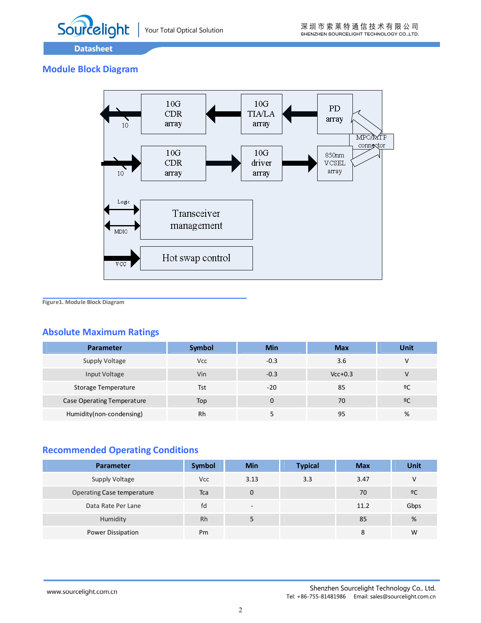

### **Module Block Diagram**



**Figure1. Module Block Diagram**

### **Absolute Maximum Ratings**

| <b>Parameter</b>           | Symbol     | Min    | <b>Max</b> | Unit |
|----------------------------|------------|--------|------------|------|
| Supply Voltage             | <b>Vcc</b> | $-0.3$ | 3.6        | v    |
| Input Voltage              | Vin        | $-0.3$ | $Vcc+0.3$  | v    |
| Storage Temperature        | Tst        | $-20$  | 85         | ºC   |
| Case Operating Temperature | Top        | 0      | 70         | 2C   |
| Humidity(non-condensing)   | Rh         |        | 95         | %    |

### **Recommended Operating Conditions**

| <b>Parameter</b>           | Symbol     | <b>Min</b>               | <b>Typical</b> | <b>Max</b> | Unit           |
|----------------------------|------------|--------------------------|----------------|------------|----------------|
| Supply Voltage             | <b>Vcc</b> | 3.13                     | 3.3            | 3.47       | V              |
| Operating Case temperature | Tca        | 0                        |                | 70         | $\overline{6}$ |
| Data Rate Per Lane         | fd         | $\overline{\phantom{a}}$ |                | 11.2       | Gbps           |
| Humidity                   | <b>Rh</b>  | 5                        |                | 85         | %              |
| Power Dissipation          | Pm         |                          |                | 8          | W              |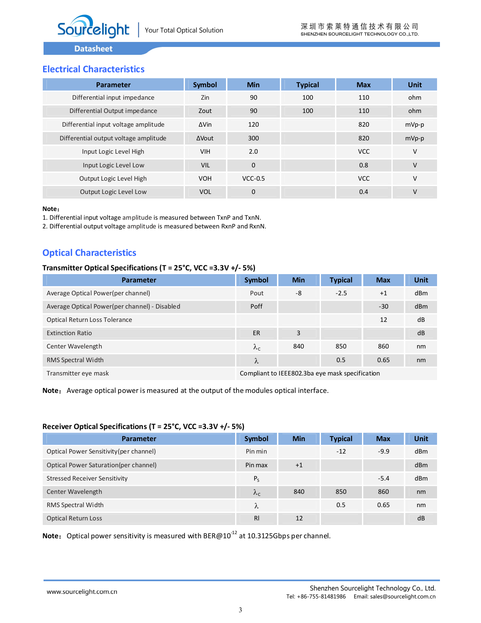

### **Electrical Characteristics**

| Parameter                             | Symbol       | <b>Min</b>   | <b>Typical</b> | <b>Max</b> | Unit    |
|---------------------------------------|--------------|--------------|----------------|------------|---------|
| Differential input impedance          | Zin          | 90           | 100            | 110        | ohm     |
| Differential Output impedance         | Zout         | 90           | 100            | 110        | ohm     |
| Differential input voltage amplitude  | $\Delta$ Vin | 120          |                | 820        | $mVp-p$ |
| Differential output voltage amplitude | <b>AVout</b> | 300          |                | 820        | $mVp-p$ |
| Input Logic Level High                | <b>VIH</b>   | 2.0          |                | <b>VCC</b> | $\vee$  |
| Input Logic Level Low                 | <b>VIL</b>   | $\mathbf{0}$ |                | 0.8        | V       |
| Output Logic Level High               | <b>VOH</b>   | $VCC-0.5$    |                | <b>VCC</b> | V       |
| Output Logic Level Low                | <b>VOL</b>   | $\mathbf{0}$ |                | 0.4        | $\vee$  |

#### **Note**:

1. Differential input voltage amplitude is measured between TxnP and TxnN.

2. Differential output voltage amplitude is measured between RxnP and RxnN.

### **Optical Characteristics**

#### **Transmitter Optical Specifications (T = 25°C, VCC =3.3V +/- 5%)**

| <b>Parameter</b>                              | <b>Symbol</b> | <b>Min</b>                                      | <b>Typical</b> | <b>Max</b> | Unit |
|-----------------------------------------------|---------------|-------------------------------------------------|----------------|------------|------|
| Average Optical Power(per channel)            | Pout          | -8                                              | $-2.5$         | $+1$       | dBm  |
| Average Optical Power(per channel) - Disabled | Poff          |                                                 |                | $-30$      | dBm  |
| Optical Return Loss Tolerance                 |               |                                                 |                | 12         | dB   |
| <b>Extinction Ratio</b>                       | ER            | 3                                               |                |            | dB   |
| Center Wavelength                             | $\lambda_c$   | 840                                             | 850            | 860        | nm   |
| RMS Spectral Width                            | λ             |                                                 | 0.5            | 0.65       | nm   |
| Transmitter eye mask                          |               | Compliant to IEEE802.3ba eye mask specification |                |            |      |

Note: Average optical power is measured at the output of the modules optical interface.

#### **Receiver Optical Specifications (T = 25°C, VCC =3.3V +/- 5%)**

| <b>Parameter</b>                        | <b>Symbol</b>  | Min  | <b>Typical</b> | <b>Max</b> | Unit |
|-----------------------------------------|----------------|------|----------------|------------|------|
| Optical Power Sensitivity (per channel) | Pin min        |      | $-12$          | $-9.9$     | dBm  |
| Optical Power Saturation (per channel)  | Pin max        | $+1$ |                |            | dBm  |
| <b>Stressed Receiver Sensitivity</b>    | $P_{S}$        |      |                | $-5.4$     | dBm  |
| Center Wavelength                       | $\lambda_c$    | 840  | 850            | 860        | nm   |
| RMS Spectral Width                      | λ              |      | 0.5            | 0.65       | nm   |
| <b>Optical Return Loss</b>              | R <sub>l</sub> | 12   |                |            | dB   |

Note: Optical power sensitivity is measured with BER@10<sup>-12</sup> at 10.3125Gbps per channel.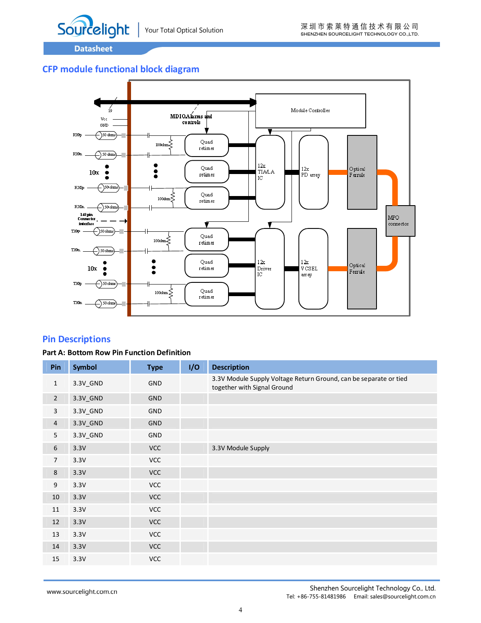

### **CFP module functional block diagram**



### **Pin Descriptions**

#### **Part A: Bottom Row Pin Function Definition**

| Pin            | Symbol   | <b>Type</b> | I/O | <b>Description</b>                                                                               |
|----------------|----------|-------------|-----|--------------------------------------------------------------------------------------------------|
| $\mathbf{1}$   | 3.3V_GND | <b>GND</b>  |     | 3.3V Module Supply Voltage Return Ground, can be separate or tied<br>together with Signal Ground |
| $\overline{2}$ | 3.3V_GND | <b>GND</b>  |     |                                                                                                  |
| $\mathbf{3}$   | 3.3V_GND | <b>GND</b>  |     |                                                                                                  |
| $\overline{4}$ | 3.3V_GND | <b>GND</b>  |     |                                                                                                  |
| 5              | 3.3V_GND | GND         |     |                                                                                                  |
| $\sqrt{6}$     | 3.3V     | <b>VCC</b>  |     | 3.3V Module Supply                                                                               |
| $\overline{7}$ | 3.3V     | <b>VCC</b>  |     |                                                                                                  |
| $\,8\,$        | 3.3V     | <b>VCC</b>  |     |                                                                                                  |
| 9              | 3.3V     | <b>VCC</b>  |     |                                                                                                  |
| 10             | 3.3V     | <b>VCC</b>  |     |                                                                                                  |
| 11             | 3.3V     | <b>VCC</b>  |     |                                                                                                  |
| $12\,$         | 3.3V     | <b>VCC</b>  |     |                                                                                                  |
| 13             | 3.3V     | <b>VCC</b>  |     |                                                                                                  |
| 14             | 3.3V     | <b>VCC</b>  |     |                                                                                                  |
| 15             | 3.3V     | <b>VCC</b>  |     |                                                                                                  |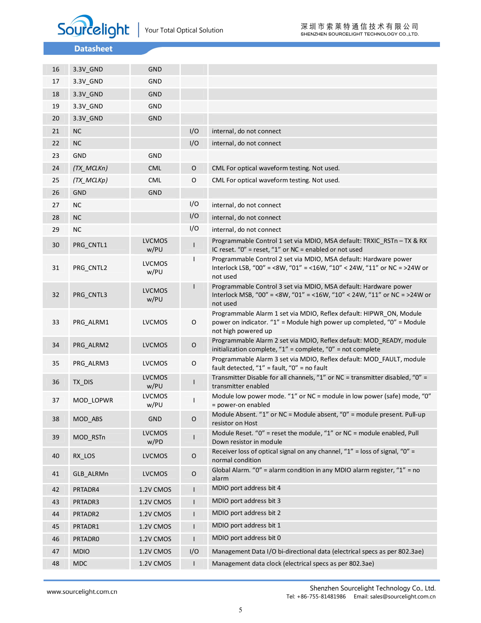

| 16 | 3.3V_GND    | <b>GND</b>            |              |                                                                                                                                                                      |
|----|-------------|-----------------------|--------------|----------------------------------------------------------------------------------------------------------------------------------------------------------------------|
| 17 | 3.3V_GND    | GND                   |              |                                                                                                                                                                      |
| 18 | 3.3V_GND    | <b>GND</b>            |              |                                                                                                                                                                      |
| 19 | 3.3V_GND    | GND                   |              |                                                                                                                                                                      |
| 20 | 3.3V_GND    | <b>GND</b>            |              |                                                                                                                                                                      |
| 21 | <b>NC</b>   |                       | I/O          | internal, do not connect                                                                                                                                             |
| 22 | <b>NC</b>   |                       | I/O          | internal, do not connect                                                                                                                                             |
| 23 | <b>GND</b>  | GND                   |              |                                                                                                                                                                      |
| 24 | (TX_MCLKn)  | <b>CML</b>            | $\mathsf O$  | CML For optical waveform testing. Not used.                                                                                                                          |
| 25 | (TX_MCLKp)  | <b>CML</b>            | 0            | CML For optical waveform testing. Not used.                                                                                                                          |
| 26 | <b>GND</b>  | <b>GND</b>            |              |                                                                                                                                                                      |
| 27 | NC          |                       | I/O          | internal, do not connect                                                                                                                                             |
| 28 | <b>NC</b>   |                       | I/O          | internal, do not connect                                                                                                                                             |
| 29 | NC          |                       | I/O          | internal, do not connect                                                                                                                                             |
| 30 | PRG_CNTL1   | <b>LVCMOS</b><br>w/PU | L            | Programmable Control 1 set via MDIO, MSA default: TRXIC RSTn - TX & RX<br>IC reset. "0" = reset, "1" or NC = enabled or not used                                     |
| 31 | PRG_CNTL2   | <b>LVCMOS</b><br>w/PU | $\mathsf{I}$ | Programmable Control 2 set via MDIO, MSA default: Hardware power<br>Interlock LSB, "00" = <8W, "01" = <16W, "10" < 24W, "11" or NC = >24W or<br>not used             |
| 32 | PRG_CNTL3   | <b>LVCMOS</b><br>w/PU |              | Programmable Control 3 set via MDIO, MSA default: Hardware power<br>Interlock MSB, "00" = <8W, "01" = <16W, "10" < 24W, "11" or NC = >24W or<br>not used             |
| 33 | PRG_ALRM1   | <b>LVCMOS</b>         | O            | Programmable Alarm 1 set via MDIO, Reflex default: HIPWR_ON, Module<br>power on indicator. "1" = Module high power up completed, "0" = Module<br>not high powered up |
| 34 | PRG_ALRM2   | <b>LVCMOS</b>         | $\mathsf O$  | Programmable Alarm 2 set via MDIO, Reflex default: MOD_READY, module<br>initialization complete, " $1"$ = complete, " $0"$ = not complete                            |
| 35 | PRG ALRM3   | <b>LVCMOS</b>         | $\mathsf O$  | Programmable Alarm 3 set via MDIO, Reflex default: MOD_FAULT, module<br>fault detected, " $1"$ = fault, " $0"$ = no fault                                            |
| 36 | TX_DIS      | <b>LVCMOS</b><br>w/PU | L            | Transmitter Disable for all channels, "1" or NC = transmitter disabled, "0" =<br>transmitter enabled                                                                 |
| 37 | MOD_LOPWR   | <b>LVCMOS</b><br>w/PU |              | Module low power mode. "1" or NC = module in low power (safe) mode, "0"<br>= power-on enabled                                                                        |
| 38 | MOD_ABS     | <b>GND</b>            | O            | Module Absent. "1" or NC = Module absent, "0" = module present. Pull-up<br>resistor on Host                                                                          |
| 39 | MOD_RSTn    | <b>LVCMOS</b><br>w/PD | L            | Module Reset. "0" = reset the module, "1" or NC = module enabled, Pull<br>Down resistor in module                                                                    |
| 40 | RX_LOS      | <b>LVCMOS</b>         | $\mathsf O$  | Receiver loss of optical signal on any channel, "1" = loss of signal, "0" =<br>normal condition                                                                      |
| 41 | GLB ALRMn   | <b>LVCMOS</b>         | $\mathsf O$  | Global Alarm. "O" = alarm condition in any MDIO alarm register, " $1"$ = no<br>alarm                                                                                 |
| 42 | PRTADR4     | 1.2V CMOS             | $\mathsf{L}$ | MDIO port address bit 4                                                                                                                                              |
| 43 | PRTADR3     | 1.2V CMOS             | $\mathbf{L}$ | MDIO port address bit 3                                                                                                                                              |
| 44 | PRTADR2     | 1.2V CMOS             | $\mathsf{L}$ | MDIO port address bit 2                                                                                                                                              |
| 45 | PRTADR1     | 1.2V CMOS             | $\mathbf{I}$ | MDIO port address bit 1                                                                                                                                              |
| 46 | PRTADR0     | 1.2V CMOS             | $\mathsf{L}$ | MDIO port address bit 0                                                                                                                                              |
| 47 | <b>MDIO</b> | 1.2V CMOS             | I/O          | Management Data I/O bi-directional data (electrical specs as per 802.3ae)                                                                                            |
| 48 | <b>MDC</b>  | 1.2V CMOS             | $\mathbf{L}$ | Management data clock (electrical specs as per 802.3ae)                                                                                                              |

www.sourcelight.com.cn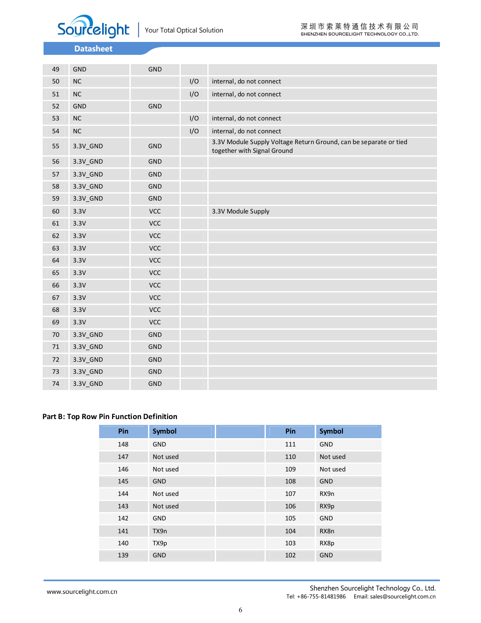

| 49     | GND      | GND        |     |                                                                                                  |
|--------|----------|------------|-----|--------------------------------------------------------------------------------------------------|
| 50     | $NC$     |            | I/O | internal, do not connect                                                                         |
| 51     | $\sf NC$ |            | I/O | internal, do not connect                                                                         |
| 52     | GND      | <b>GND</b> |     |                                                                                                  |
| 53     | $\sf NC$ |            | I/O | internal, do not connect                                                                         |
| 54     | $\sf NC$ |            | I/O | internal, do not connect                                                                         |
| 55     | 3.3V_GND | GND        |     | 3.3V Module Supply Voltage Return Ground, can be separate or tied<br>together with Signal Ground |
| 56     | 3.3V_GND | GND        |     |                                                                                                  |
| 57     | 3.3V_GND | GND        |     |                                                                                                  |
| 58     | 3.3V_GND | GND        |     |                                                                                                  |
| 59     | 3.3V_GND | GND        |     |                                                                                                  |
| 60     | 3.3V     | VCC        |     | 3.3V Module Supply                                                                               |
| 61     | 3.3V     | <b>VCC</b> |     |                                                                                                  |
| 62     | 3.3V     | VCC        |     |                                                                                                  |
| 63     | 3.3V     | VCC        |     |                                                                                                  |
| 64     | 3.3V     | VCC        |     |                                                                                                  |
| 65     | 3.3V     | <b>VCC</b> |     |                                                                                                  |
| 66     | 3.3V     | <b>VCC</b> |     |                                                                                                  |
| 67     | 3.3V     | <b>VCC</b> |     |                                                                                                  |
| 68     | 3.3V     | <b>VCC</b> |     |                                                                                                  |
| 69     | 3.3V     | <b>VCC</b> |     |                                                                                                  |
| 70     | 3.3V_GND | GND        |     |                                                                                                  |
| 71     | 3.3V_GND | GND        |     |                                                                                                  |
| 72     | 3.3V_GND | GND        |     |                                                                                                  |
| $73\,$ | 3.3V_GND | GND        |     |                                                                                                  |
| 74     | 3.3V_GND | <b>GND</b> |     |                                                                                                  |

#### **Part B: Top Row Pin Function Definition**

| Pin | <b>Symbol</b> | Pin | <b>Symbol</b> |
|-----|---------------|-----|---------------|
| 148 | <b>GND</b>    | 111 | <b>GND</b>    |
| 147 | Not used      | 110 | Not used      |
| 146 | Not used      | 109 | Not used      |
| 145 | <b>GND</b>    | 108 | <b>GND</b>    |
| 144 | Not used      | 107 | RX9n          |
| 143 | Not used      | 106 | RX9p          |
| 142 | <b>GND</b>    | 105 | <b>GND</b>    |
| 141 | TX9n          | 104 | RX8n          |
| 140 | TX9p          | 103 | RX8p          |
| 139 | <b>GND</b>    | 102 | <b>GND</b>    |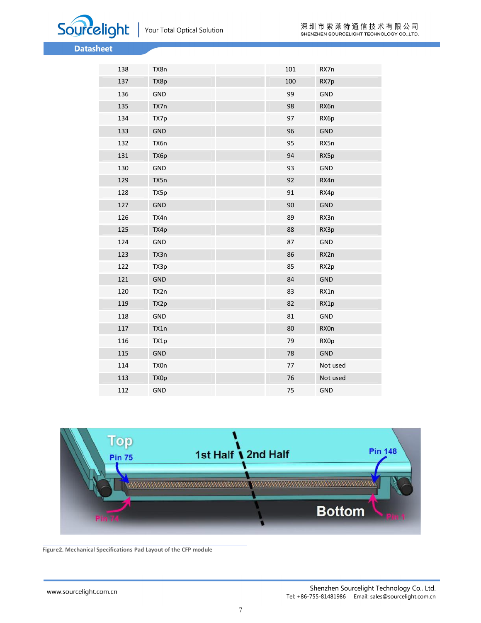



| 138 | TX8n       | 101 | RX7n        |
|-----|------------|-----|-------------|
| 137 | TX8p       | 100 | RX7p        |
| 136 | GND        | 99  | GND         |
| 135 | TX7n       | 98  | RX6n        |
| 134 | TX7p       | 97  | RX6p        |
| 133 | GND        | 96  | <b>GND</b>  |
| 132 | TX6n       | 95  | RX5n        |
| 131 | TX6p       | 94  | RX5p        |
| 130 | <b>GND</b> | 93  | <b>GND</b>  |
| 129 | TX5n       | 92  | RX4n        |
| 128 | TX5p       | 91  | RX4p        |
| 127 | <b>GND</b> | 90  | <b>GND</b>  |
| 126 | TX4n       | 89  | RX3n        |
| 125 | TX4p       | 88  | RX3p        |
| 124 | GND        | 87  | GND         |
| 123 | TX3n       | 86  | RX2n        |
| 122 | TX3p       | 85  | RX2p        |
| 121 | <b>GND</b> | 84  | <b>GND</b>  |
| 120 | TX2n       | 83  | RX1n        |
| 119 | TX2p       | 82  | RX1p        |
| 118 | GND        | 81  | GND         |
| 117 | TX1n       | 80  | <b>RXOn</b> |
| 116 | TX1p       | 79  | RX0p        |
| 115 | <b>GND</b> | 78  | <b>GND</b>  |
| 114 | TX0n       | 77  | Not used    |
| 113 | TX0p       | 76  | Not used    |
| 112 | <b>GND</b> | 75  | GND         |



**Figure2. Mechanical Specifications Pad Layout of the CFP module**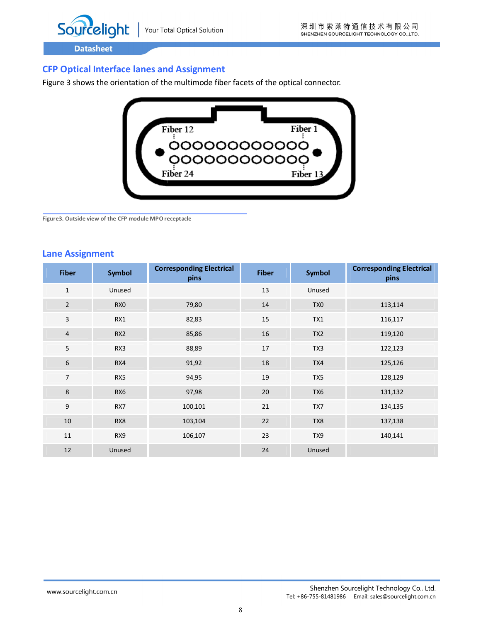

## **CFP Optical Interface lanes and Assignment**

Figure 3 shows the orientation of the multimode fiber facets of the optical connector.



**Figure3. Outside view of the CFP module MPO receptacle**

#### **Lane Assignment**

| <b>Fiber</b>   | <b>Symbol</b>   | <b>Corresponding Electrical</b><br>pins | <b>Fiber</b> | Symbol          | <b>Corresponding Electrical</b><br>pins |
|----------------|-----------------|-----------------------------------------|--------------|-----------------|-----------------------------------------|
| $\mathbf{1}$   | Unused          |                                         | 13           | Unused          |                                         |
| $\overline{2}$ | RX <sub>0</sub> | 79,80                                   | 14           | TX <sub>0</sub> | 113,114                                 |
| 3              | RX1             | 82,83                                   | 15           | TX1             | 116,117                                 |
| $\overline{4}$ | RX <sub>2</sub> | 85,86                                   | 16           | TX <sub>2</sub> | 119,120                                 |
| 5              | RX3             | 88,89                                   | 17           | TX3             | 122,123                                 |
| 6              | RX4             | 91,92                                   | 18           | TX4             | 125,126                                 |
| $\overline{7}$ | RX5             | 94,95                                   | 19           | TX5             | 128,129                                 |
| $\,8\,$        | RX6             | 97,98                                   | 20           | TX6             | 131,132                                 |
| 9              | RX7             | 100,101                                 | 21           | TX7             | 134,135                                 |
| 10             | RX8             | 103,104                                 | 22           | TX8             | 137,138                                 |
| 11             | RX9             | 106,107                                 | 23           | TX9             | 140,141                                 |
| 12             | Unused          |                                         | 24           | Unused          |                                         |